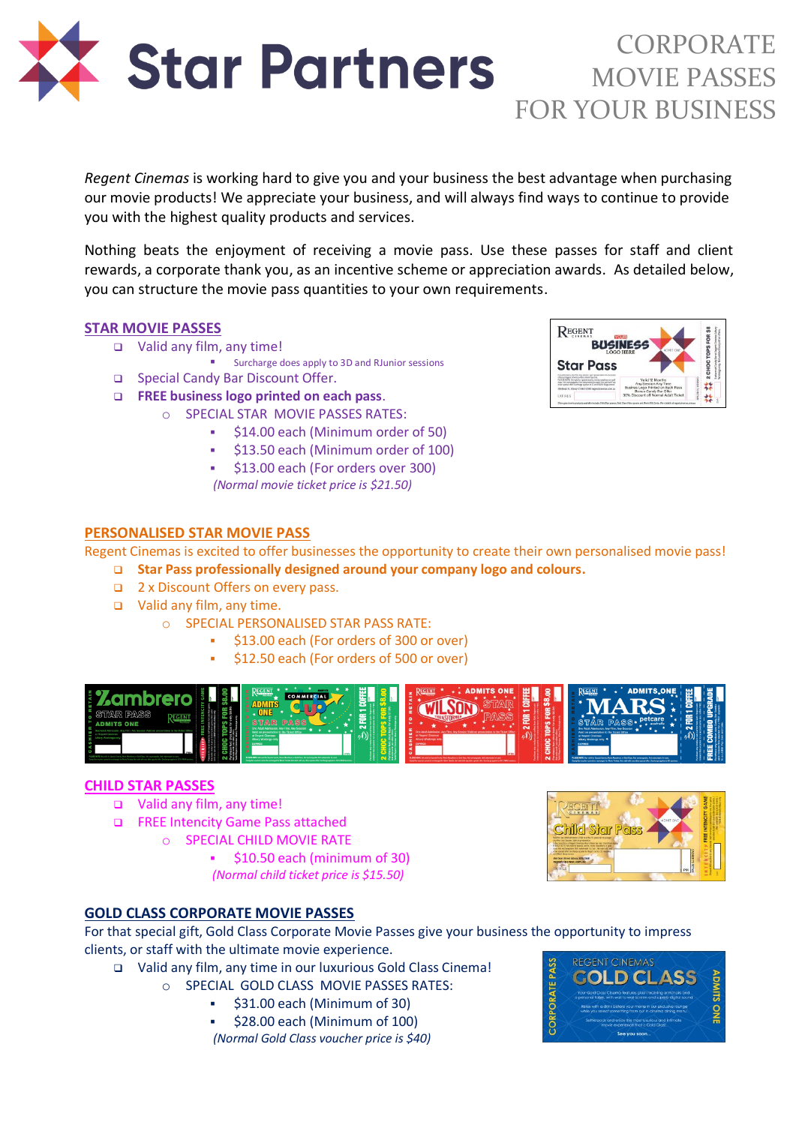

## CORPORATE MOVIE PASSES FOR YOUR BUSINESS

*Regent Cinemas* is working hard to give you and your business the best advantage when purchasing our movie products! We appreciate your business, and will always find ways to continue to provide you with the highest quality products and services.

Nothing beats the enjoyment of receiving a movie pass. Use these passes for staff and client rewards, a corporate thank you, as an incentive scheme or appreciation awards. As detailed below, you can structure the movie pass quantities to your own requirements.

## **STAR MOVIE PASSES**

- Valid any film, any time!
	- Surcharge does apply to 3D and RJunior sessions
- □ Special Candy Bar Discount Offer.
- **FREE business logo printed on each pass**.
	- o SPECIAL STAR MOVIE PASSES RATES:
		- \$14.00 each (Minimum order of 50)
		- \$13.50 each (Minimum order of 100)
		- \$13.00 each (For orders over 300) *(Normal movie ticket price is \$21.50)*



## **PERSONALISED STAR MOVIE PASS**

Regent Cinemas is excited to offer businesses the opportunity to create their own personalised movie pass!

- **Star Pass professionally designed around your company logo and colours.**
- 2 x Discount Offers on every pass.
- Valid any film, any time.
	- o SPECIAL PERSONALISED STAR PASS RATE:
		- \$13.00 each (For orders of 300 or over)
		- \$12.50 each (For orders of 500 or over)



#### **CHILD STAR PASSES**

- Valid any film, any time!
- FREE Intencity Game Pass attached
	- o SPECIAL CHILD MOVIE RATE

 $\bullet$  \$10.50 each (minimum of 30) *(Normal child ticket price is \$15.50)*



## **GOLD CLASS CORPORATE MOVIE PASSES**

For that special gift, Gold Class Corporate Movie Passes give your business the opportunity to impress clients, or staff with the ultimate movie experience.

- Valid any film, any time in our luxurious Gold Class Cinema!
	- o SPECIAL GOLD CLASS MOVIE PASSES RATES:
		- \$31.00 each (Minimum of 30)
		- \$28.00 each (Minimum of 100)